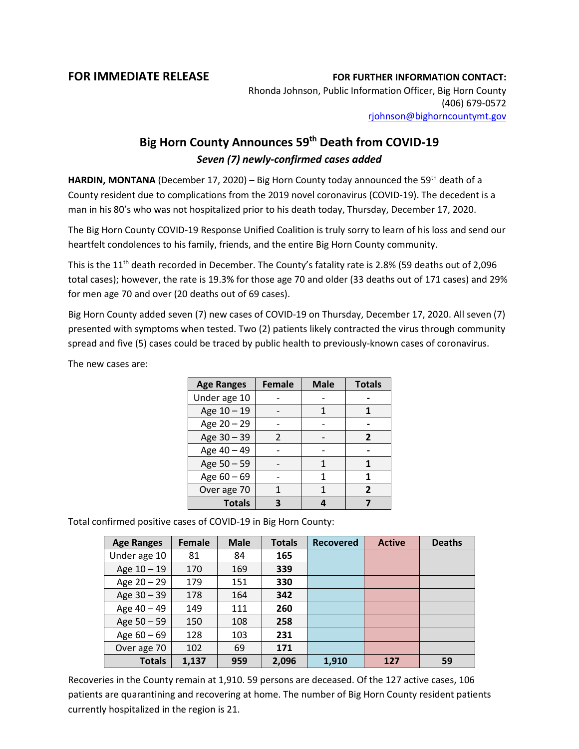## **FOR IMMEDIATE RELEASE FOR FURTHER INFORMATION CONTACT:**

Rhonda Johnson, Public Information Officer, Big Horn County (406) 679-0572 [rjohnson@bighorncountymt.gov](mailto:rjohnson@bighorncountymt.gov)

## **Big Horn County Announces 59th Death from COVID-19** *Seven (7) newly-confirmed cases added*

**HARDIN, MONTANA** (December 17, 2020) – Big Horn County today announced the 59th death of a County resident due to complications from the 2019 novel coronavirus (COVID-19). The decedent is a man in his 80's who was not hospitalized prior to his death today, Thursday, December 17, 2020.

The Big Horn County COVID-19 Response Unified Coalition is truly sorry to learn of his loss and send our heartfelt condolences to his family, friends, and the entire Big Horn County community.

This is the 11<sup>th</sup> death recorded in December. The County's fatality rate is 2.8% (59 deaths out of 2,096 total cases); however, the rate is 19.3% for those age 70 and older (33 deaths out of 171 cases) and 29% for men age 70 and over (20 deaths out of 69 cases).

Big Horn County added seven (7) new cases of COVID-19 on Thursday, December 17, 2020. All seven (7) presented with symptoms when tested. Two (2) patients likely contracted the virus through community spread and five (5) cases could be traced by public health to previously-known cases of coronavirus.

> **Age Ranges Female Male Totals** Under age 10 | - | - | -Age  $10 - 19$  - 1 1 1 Age 20 – 29 **| - | - | -**Age  $30 - 39$  | 2 | - | 2 Age 40 – 49 **- 1** - **1** -Age  $50 - 59$   $1 \t 1$ Age  $60 - 69$  | - | 1 | 1 Over age 70 | 1 | 1 | 2 **Totals 3 4 7**

The new cases are:

Total confirmed positive cases of COVID-19 in Big Horn County:

| <b>Age Ranges</b> | Female | <b>Male</b> | <b>Totals</b> | <b>Recovered</b> | <b>Active</b> | <b>Deaths</b> |
|-------------------|--------|-------------|---------------|------------------|---------------|---------------|
| Under age 10      | 81     | 84          | 165           |                  |               |               |
| Age 10 - 19       | 170    | 169         | 339           |                  |               |               |
| Age 20 - 29       | 179    | 151         | 330           |                  |               |               |
| Age 30 - 39       | 178    | 164         | 342           |                  |               |               |
| Age 40 - 49       | 149    | 111         | 260           |                  |               |               |
| Age 50 - 59       | 150    | 108         | 258           |                  |               |               |
| Age $60 - 69$     | 128    | 103         | 231           |                  |               |               |
| Over age 70       | 102    | 69          | 171           |                  |               |               |
| <b>Totals</b>     | 1,137  | 959         | 2,096         | 1,910            | 127           | 59            |

Recoveries in the County remain at 1,910. 59 persons are deceased. Of the 127 active cases, 106 patients are quarantining and recovering at home. The number of Big Horn County resident patients currently hospitalized in the region is 21.